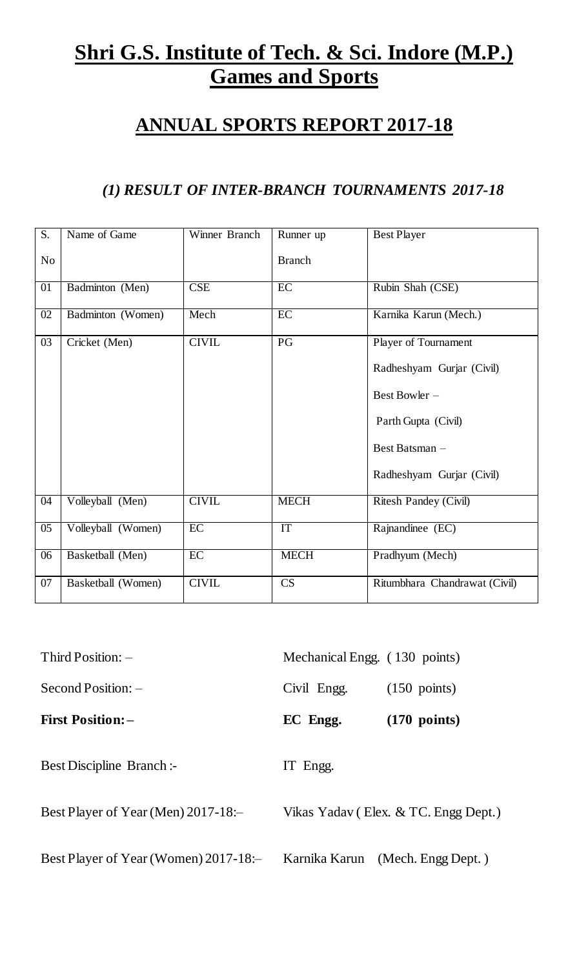# **Shri G.S. Institute of Tech. & Sci. Indore (M.P.) Games and Sports**

## **ANNUAL SPORTS REPORT 2017-18**

## *(1) RESULT OF INTER-BRANCH TOURNAMENTS 2017-18*

| S.              | Name of Game       | Winner Branch | Runner up       | <b>Best Player</b>            |
|-----------------|--------------------|---------------|-----------------|-------------------------------|
| No              |                    |               | <b>Branch</b>   |                               |
| $\overline{01}$ | Badminton (Men)    | CSE           | EC              | Rubin Shah (CSE)              |
| $\overline{02}$ | Badminton (Women)  | Mech          | EC              | Karnika Karun (Mech.)         |
| 03              | Cricket (Men)      | <b>CIVIL</b>  | $\overline{PG}$ | Player of Tournament          |
|                 |                    |               |                 | Radheshyam Gurjar (Civil)     |
|                 |                    |               |                 | Best Bowler -                 |
|                 |                    |               |                 | Parth Gupta (Civil)           |
|                 |                    |               |                 | Best Batsman -                |
|                 |                    |               |                 | Radheshyam Gurjar (Civil)     |
| 04              | Volleyball (Men)   | <b>CIVIL</b>  | <b>MECH</b>     | <b>Ritesh Pandey (Civil)</b>  |
| 05              | Volleyball (Women) | EC            | IT              | Rajnandinee (EC)              |
| 06              | Basketball (Men)   | EC            | <b>MECH</b>     | Pradhyum (Mech)               |
| 07              | Basketball (Women) | <b>CIVIL</b>  | CS              | Ritumbhara Chandrawat (Civil) |

| Third Position: $-$                   | Mechanical Engg. (130 points) |                                      |
|---------------------------------------|-------------------------------|--------------------------------------|
| $Second Position:$ –                  | Civil Engg.                   | $(150 \text{ points})$               |
| <b>First Position: -</b>              | EC Engg.                      | $(170 \text{ points})$               |
| <b>Best Discipline Branch:-</b>       | IT Engg.                      |                                      |
| Best Player of Year (Men) $2017-18$ : |                               | Vikas Yadav (Elex. & TC. Engg Dept.) |
| Best Player of Year (Women) 2017-18:- | Karnika Karun                 | (Mech. Engg Dept.)                   |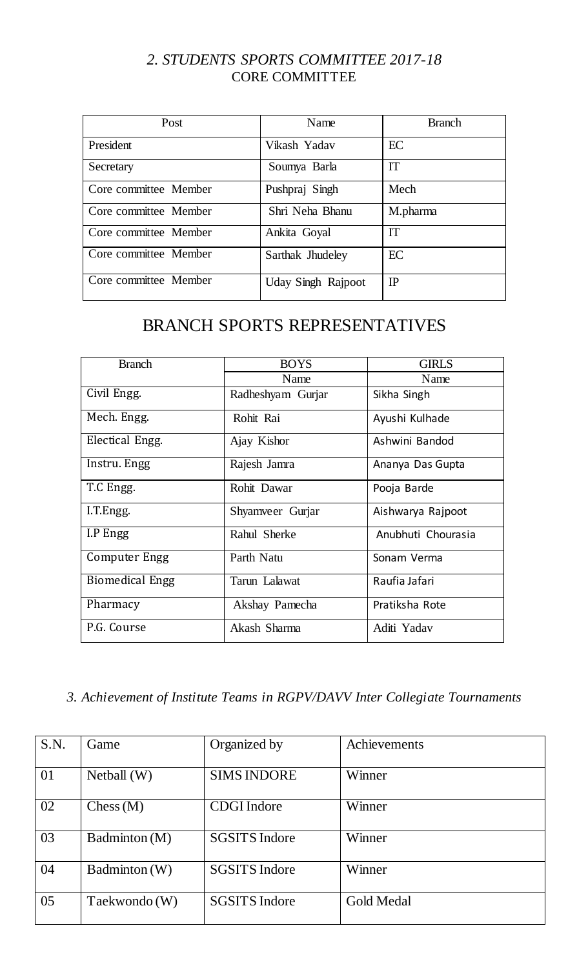#### *2. STUDENTS SPORTS COMMITTEE 2017-18* CORE COMMITTEE

| Post                  | Name                      | <b>Branch</b> |
|-----------------------|---------------------------|---------------|
| President             | Vikash Yadav              | EC            |
| Secretary             | Soumya Barla              | <b>IT</b>     |
| Core committee Member | Pushpraj Singh            | Mech          |
| Core committee Member | Shri Neha Bhanu           | M.pharma      |
| Core committee Member | Ankita Goyal              | <b>IT</b>     |
| Core committee Member | Sarthak Jhudeley          | EC            |
| Core committee Member | <b>Uday Singh Rajpoot</b> | IP            |

## BRANCH SPORTS REPRESENTATIVES

| <b>Branch</b>          | <b>BOYS</b>       |                    |
|------------------------|-------------------|--------------------|
|                        | Name              | Name               |
| Civil Engg.            | Radheshyam Gurjar | Sikha Singh        |
| Mech. Engg.            | Rohit Rai         | Ayushi Kulhade     |
| Electical Engg.        | Ajay Kishor       | Ashwini Bandod     |
| Instru. Engg           | Rajesh Jamra      | Ananya Das Gupta   |
| T.C Engg.              | Rohit Dawar       | Pooja Barde        |
| I.T.Engg.              | Shyamveer Gurjar  | Aishwarya Rajpoot  |
| I.P Engg               | Rahul Sherke      | Anubhuti Chourasia |
| Computer Engg          | Parth Natu        | Sonam Verma        |
| <b>Biomedical Engg</b> | Tarun Lalawat     | Raufia Jafari      |
| Pharmacy               | Akshay Pamecha    | Pratiksha Rote     |
| P.G. Course            | Akash Sharma      | Aditi Yadav        |

### *3. Achievement of Institute Teams in RGPV/DAVV Inter Collegiate Tournaments*

| S.N. | Game          | Organized by         | Achievements      |
|------|---------------|----------------------|-------------------|
| 01   | Netball $(W)$ | <b>SIMS INDORE</b>   | Winner            |
| 02   | Chess(M)      | <b>CDGI</b> Indore   | Winner            |
| 03   | Badminton (M) | <b>SGSITS Indore</b> | Winner            |
| 04   | Badminton (W) | <b>SGSITS Indore</b> | Winner            |
| 05   | Taekwondo (W) | <b>SGSITS Indore</b> | <b>Gold Medal</b> |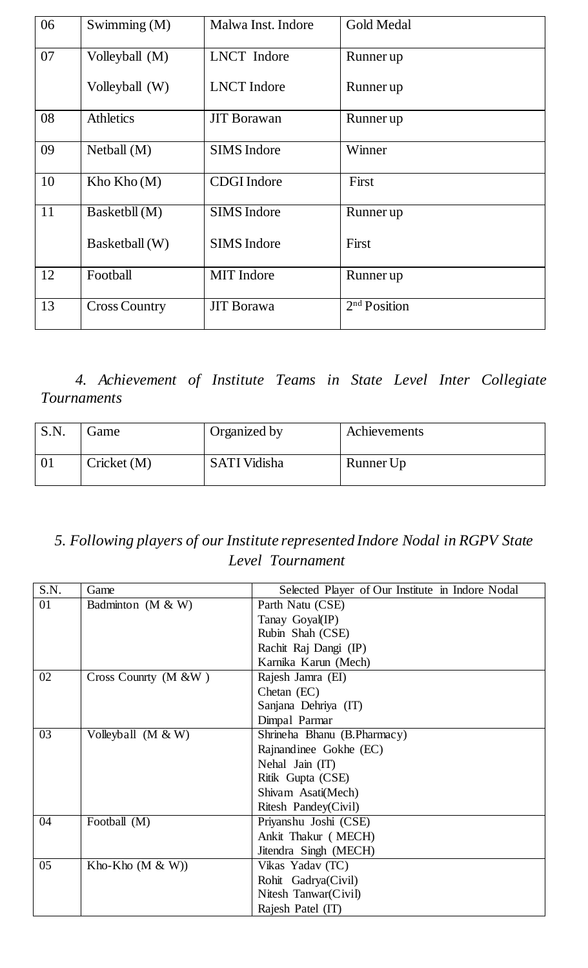| 06 | Swimming (M)         | Malwa Inst. Indore | <b>Gold Medal</b>        |
|----|----------------------|--------------------|--------------------------|
| 07 | Volleyball (M)       | <b>LNCT</b> Indore | Runner up                |
|    | Volleyball (W)       | <b>LNCT</b> Indore | Runner up                |
| 08 | <b>Athletics</b>     | <b>JIT Borawan</b> | Runner up                |
| 09 | Netball $(M)$        | <b>SIMS</b> Indore | Winner                   |
| 10 | Kho Kho $(M)$        | <b>CDGI</b> Indore | First                    |
| 11 | Basketbll (M)        | <b>SIMS</b> Indore | Runner up                |
|    | Basketball (W)       | <b>SIMS</b> Indore | First                    |
| 12 | Football             | <b>MIT</b> Indore  | Runner up                |
| 13 | <b>Cross Country</b> | <b>JIT Borawa</b>  | 2 <sup>nd</sup> Position |

*4. Achievement of Institute Teams in State Level Inter Collegiate Tournaments* 

| S.N. | Game        | Organized by        | Achievements |
|------|-------------|---------------------|--------------|
|      | Cricket (M) | <b>SATI Vidisha</b> | Runner Up    |

## *5. Following players of our Institute represented Indore Nodal in RGPV State Level Tournament*

| S.N. | Game                 | Selected Player of Our Institute in Indore Nodal |
|------|----------------------|--------------------------------------------------|
| 01   | Badminton $(M & W)$  | Parth Natu (CSE)                                 |
|      |                      | Tanay Goyal(IP)                                  |
|      |                      | Rubin Shah (CSE)                                 |
|      |                      | Rachit Raj Dangi (IP)                            |
|      |                      | Karnika Karun (Mech)                             |
| 02   | Cross Counrty (M &W) | Rajesh Jamra (EI)                                |
|      |                      | Chetan (EC)                                      |
|      |                      | Sanjana Dehriya (IT)                             |
|      |                      | Dimpal Parmar                                    |
| 03   | Volleyball (M & W)   | Shrineha Bhanu (B.Pharmacy)                      |
|      |                      | Rajnandinee Gokhe (EC)                           |
|      |                      | Nehal Jain (IT)                                  |
|      |                      | Ritik Gupta (CSE)                                |
|      |                      | Shivam Asati(Mech)                               |
|      |                      | Ritesh Pandey(Civil)                             |
| 04   | Football (M)         | Priyanshu Joshi (CSE)                            |
|      |                      | Ankit Thakur (MECH)                              |
|      |                      | Jitendra Singh (MECH)                            |
| 05   | Kho-Kho $(M & W)$    | Vikas Yadav (TC)                                 |
|      |                      | Rohit Gadrya(Civil)                              |
|      |                      | Nitesh Tanwar(Civil)                             |
|      |                      | Rajesh Patel (IT)                                |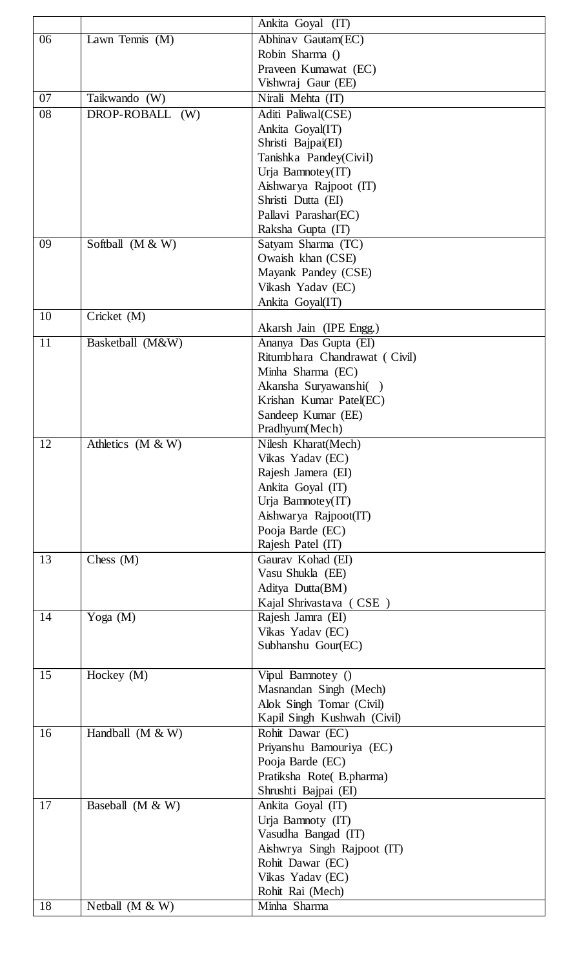|    |                    | Ankita Goyal (IT)             |
|----|--------------------|-------------------------------|
| 06 | Lawn Tennis (M)    | Abhinav Gautam(EC)            |
|    |                    | Robin Sharma ()               |
|    |                    | Praveen Kumawat (EC)          |
|    |                    | Vishwraj Gaur (EE)            |
| 07 | Taikwando (W)      | Nirali Mehta (IT)             |
| 08 | DROP-ROBALL (W)    | Aditi Paliwal(CSE)            |
|    |                    | Ankita Goyal(IT)              |
|    |                    | Shristi Bajpai(EI)            |
|    |                    | Tanishka Pandey(Civil)        |
|    |                    | Urja Bamnotey(IT)             |
|    |                    | Aishwarya Rajpoot (IT)        |
|    |                    | Shristi Dutta (EI)            |
|    |                    | Pallavi Parashar(EC)          |
|    |                    | Raksha Gupta (IT)             |
| 09 | Softball (M & W)   | Satyam Sharma (TC)            |
|    |                    | Owaish khan (CSE)             |
|    |                    | Mayank Pandey (CSE)           |
|    |                    | Vikash Yadav (EC)             |
|    |                    | Ankita Goyal(IT)              |
| 10 | Cricket (M)        |                               |
|    |                    | Akarsh Jain (IPE Engg.)       |
| 11 | Basketball (M&W)   | Ananya Das Gupta (EI)         |
|    |                    | Ritumbhara Chandrawat (Civil) |
|    |                    | Minha Sharma (EC)             |
|    |                    | Akansha Suryawanshi()         |
|    |                    | Krishan Kumar Patel(EC)       |
|    |                    | Sandeep Kumar (EE)            |
|    |                    | Pradhyum(Mech)                |
| 12 | Athletics (M & W)  | Nilesh Kharat(Mech)           |
|    |                    | Vikas Yadav (EC)              |
|    |                    | Rajesh Jamera (EI)            |
|    |                    | Ankita Goyal (IT)             |
|    |                    | Urja Bamnotey(IT)             |
|    |                    | Aishwarya Rajpoot(IT)         |
|    |                    | Pooja Barde (EC)              |
|    |                    | Rajesh Patel (IT)             |
| 13 | Chess $(M)$        | Gaurav Kohad (EI)             |
|    |                    | Vasu Shukla (EE)              |
|    |                    | Aditya Dutta(BM)              |
|    |                    | Kajal Shrivastava (CSE)       |
| 14 | Yoga (M)           | Rajesh Jamra (EI)             |
|    |                    | Vikas Yadav (EC)              |
|    |                    | Subhanshu Gour(EC)            |
|    |                    |                               |
| 15 | Hockey $(M)$       | Vipul Bamnotey ()             |
|    |                    | Masnandan Singh (Mech)        |
|    |                    | Alok Singh Tomar (Civil)      |
|    |                    | Kapil Singh Kushwah (Civil)   |
| 16 | Handball $(M & W)$ | Rohit Dawar (EC)              |
|    |                    | Priyanshu Bamouriya (EC)      |
|    |                    | Pooja Barde (EC)              |
|    |                    | Pratiksha Rote(B.pharma)      |
|    |                    | Shrushti Bajpai (EI)          |
| 17 | Baseball (M & W)   | Ankita Goyal (IT)             |
|    |                    | Urja Bamnoty (IT)             |
|    |                    | Vasudha Bangad (IT)           |
|    |                    | Aishwrya Singh Rajpoot (IT)   |
|    |                    | Rohit Dawar (EC)              |
|    |                    |                               |
|    |                    | Vikas Yadav (EC)              |
|    |                    | Rohit Rai (Mech)              |
| 18 | Netball $(M & W)$  | Minha Sharma                  |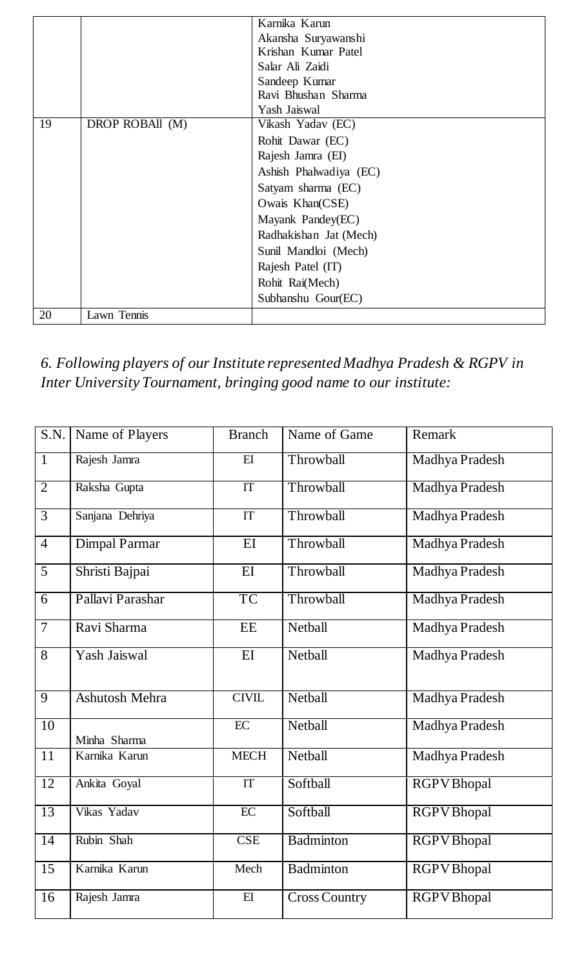|    |                 | Karnika Karun          |
|----|-----------------|------------------------|
|    |                 | Akansha Suryawanshi    |
|    |                 | Krishan Kumar Patel    |
|    |                 | Salar Ali Zaidi        |
|    |                 | Sandeep Kumar          |
|    |                 | Ravi Bhushan Sharma    |
|    |                 | Yash Jaiswal           |
| 19 | DROP ROBAll (M) | Vikash Yadav (EC)      |
|    |                 | Rohit Dawar (EC)       |
|    |                 | Rajesh Jamra (EI)      |
|    |                 | Ashish Phalwadiya (EC) |
|    |                 | Satyam sharma (EC)     |
|    |                 | Owais Khan(CSE)        |
|    |                 | Mayank Pandey(EC)      |
|    |                 | Radhakishan Jat (Mech) |
|    |                 | Sunil Mandloi (Mech)   |
|    |                 | Rajesh Patel (IT)      |
|    |                 | Rohit Rai(Mech)        |
|    |                 | Subhanshu Gour(EC)     |
| 20 | Lawn Tennis     |                        |

*6. Following players of our Institute represented Madhya Pradesh & RGPV in Inter University Tournament, bringing good name to our institute:*

| S.N.            | Name of Players       | <b>Branch</b>   | Name of Game         | Remark             |
|-----------------|-----------------------|-----------------|----------------------|--------------------|
| $\mathbf{1}$    | Rajesh Jamra          | E               | Throwball            | Madhya Pradesh     |
| $\overline{2}$  | Raksha Gupta          | IT              | Throwball            | Madhya Pradesh     |
| $\overline{3}$  | Sanjana Dehriya       | IT              | Throwball            | Madhya Pradesh     |
| $\overline{4}$  | <b>Dimpal Parmar</b>  | $\overline{EI}$ | Throwball            | Madhya Pradesh     |
| $\overline{5}$  | Shristi Bajpai        | $\overline{EI}$ | Throwball            | Madhya Pradesh     |
| $\overline{6}$  | Pallavi Parashar      | <b>TC</b>       | Throwball            | Madhya Pradesh     |
| $\overline{7}$  | Ravi Sharma           | <b>EE</b>       | Netball              | Madhya Pradesh     |
| $\overline{8}$  | Yash Jaiswal          | EI              | Netball              | Madhya Pradesh     |
| $\overline{9}$  | <b>Ashutosh Mehra</b> | <b>CIVIL</b>    | Netball              | Madhya Pradesh     |
| $\overline{10}$ | Minha Sharma          | EC              | Netball              | Madhya Pradesh     |
| $\overline{11}$ | Karnika Karun         | <b>MECH</b>     | Netball              | Madhya Pradesh     |
| 12              | Ankita Goyal          | IT              | Softball             | <b>RGPV</b> Bhopal |
| 13              | Vikas Yadav           | EC              | Softball             | <b>RGPV</b> Bhopal |
| $\overline{14}$ | Rubin Shah            | <b>CSE</b>      | Badminton            | <b>RGPV</b> Bhopal |
| $\overline{15}$ | Karnika Karun         | Mech            | Badminton            | <b>RGPV</b> Bhopal |
| 16              | Rajesh Jamra          | EI              | <b>Cross Country</b> | <b>RGPV</b> Bhopal |